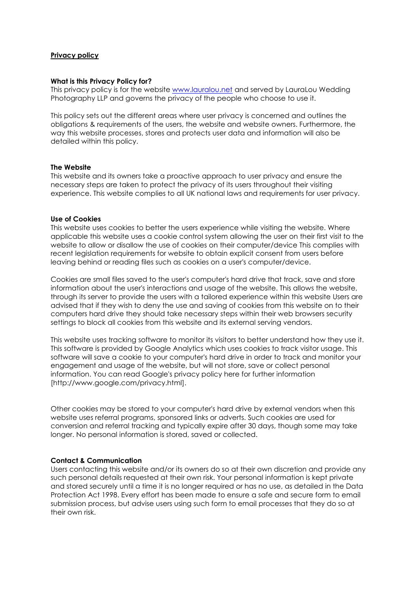## **Privacy policy**

### **What is this Privacy Policy for?**

This privacy policy is for the website [www.lauralou.net](http://www.lauralou.net/) and served by LauraLou Wedding Photography LLP and governs the privacy of the people who choose to use it.

This policy sets out the different areas where user privacy is concerned and outlines the obligations & requirements of the users, the website and website owners. Furthermore, the way this website processes, stores and protects user data and information will also be detailed within this policy.

## **The Website**

This website and its owners take a proactive approach to user privacy and ensure the necessary steps are taken to protect the privacy of its users throughout their visiting experience. This website complies to all UK national laws and requirements for user privacy.

## **Use of Cookies**

This website uses cookies to better the users experience while visiting the website. Where applicable this website uses a cookie control system allowing the user on their first visit to the website to allow or disallow the use of cookies on their computer/device This complies with recent legislation requirements for website to obtain explicit consent from users before leaving behind or reading files such as cookies on a user's computer/device.

Cookies are small files saved to the user's computer's hard drive that track, save and store information about the user's interactions and usage of the website. This allows the website, through its server to provide the users with a tailored experience within this website Users are advised that if they wish to deny the use and saving of cookies from this website on to their computers hard drive they should take necessary steps within their web browsers security settings to block all cookies from this website and its external serving vendors.

This website uses tracking software to monitor its visitors to better understand how they use it. This software is provided by Google Analytics which uses cookies to track visitor usage. This software will save a cookie to your computer's hard drive in order to track and monitor your engagement and usage of the website, but will not store, save or collect personal information. You can read Google's privacy policy here for further information [http://www.google.com/privacy.html].

Other cookies may be stored to your computer's hard drive by external vendors when this website uses referral programs, sponsored links or adverts. Such cookies are used for conversion and referral tracking and typically expire after 30 days, though some may take longer. No personal information is stored, saved or collected.

# **Contact & Communication**

Users contacting this website and/or its owners do so at their own discretion and provide any such personal details requested at their own risk. Your personal information is kept private and stored securely until a time it is no longer required or has no use, as detailed in the Data Protection Act 1998. Every effort has been made to ensure a safe and secure form to email submission process, but advise users using such form to email processes that they do so at their own risk.